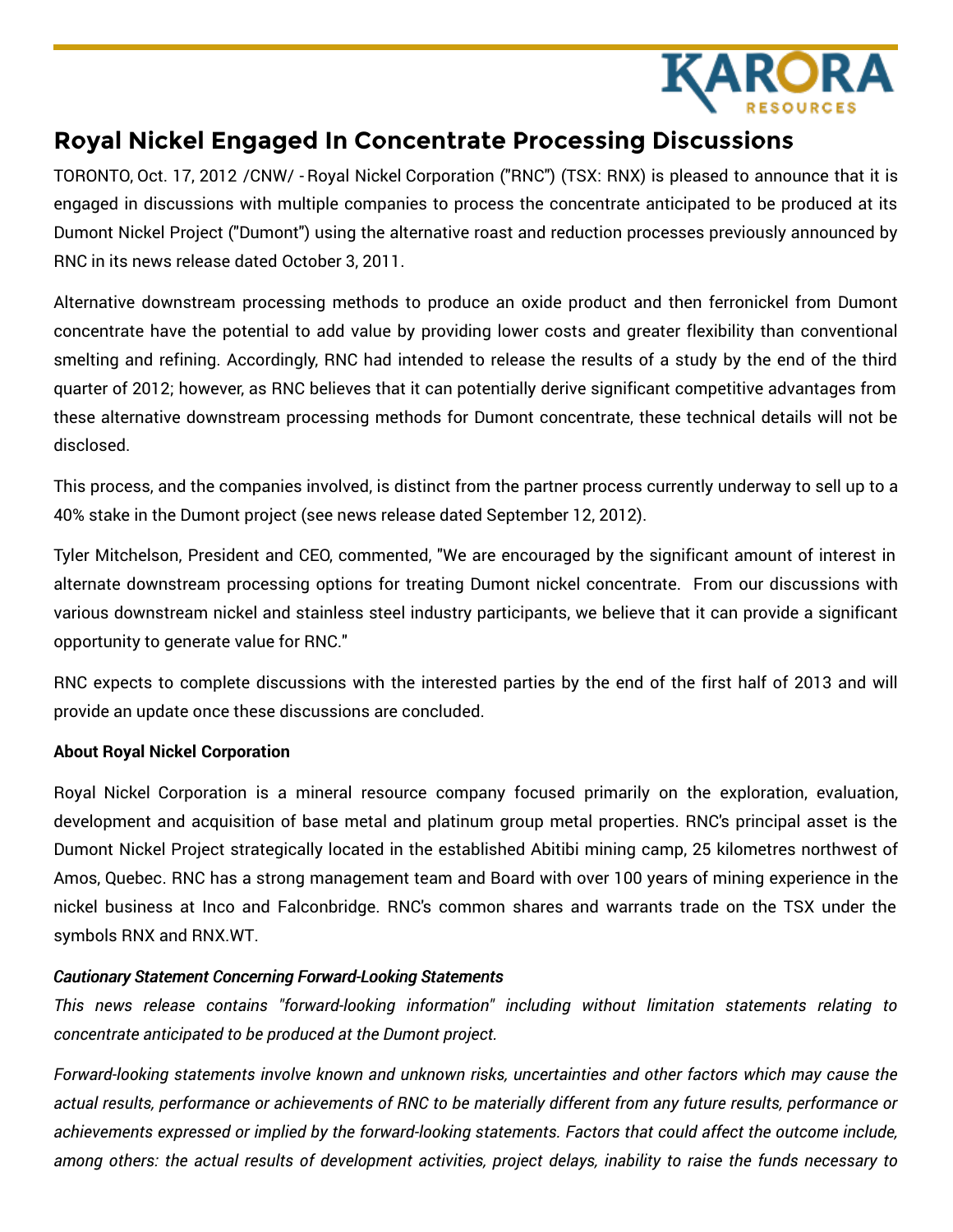

## **Royal Nickel Engaged In Concentrate Processing Discussions**

TORONTO, Oct. 17, 2012 /CNW/ - Royal Nickel Corporation ("RNC") (TSX: RNX) is pleased to announce that it is engaged in discussions with multiple companies to process the concentrate anticipated to be produced at its Dumont Nickel Project ("Dumont") using the alternative roast and reduction processes previously announced by RNC in its news release dated October 3, 2011.

Alternative downstream processing methods to produce an oxide product and then ferronickel from Dumont concentrate have the potential to add value by providing lower costs and greater flexibility than conventional smelting and refining. Accordingly, RNC had intended to release the results of a study by the end of the third quarter of 2012; however, as RNC believes that it can potentially derive significant competitive advantages from these alternative downstream processing methods for Dumont concentrate, these technical details will not be disclosed.

This process, and the companies involved, is distinct from the partner process currently underway to sell up to a 40% stake in the Dumont project (see news release dated September 12, 2012).

Tyler Mitchelson, President and CEO, commented, "We are encouraged by the significant amount of interest in alternate downstream processing options for treating Dumont nickel concentrate. From our discussions with various downstream nickel and stainless steel industry participants, we believe that it can provide a significant opportunity to generate value for RNC."

RNC expects to complete discussions with the interested parties by the end of the first half of 2013 and will provide an update once these discussions are concluded.

## **About Royal Nickel Corporation**

Royal Nickel Corporation is a mineral resource company focused primarily on the exploration, evaluation, development and acquisition of base metal and platinum group metal properties. RNC's principal asset is the Dumont Nickel Project strategically located in the established Abitibi mining camp, 25 kilometres northwest of Amos, Quebec. RNC has a strong management team and Board with over 100 years of mining experience in the nickel business at Inco and Falconbridge. RNC's common shares and warrants trade on the TSX under the symbols RNX and RNX.WT.

## *Cautionary Statement Concerning Forward-Looking Statements*

*This news release contains "forward-looking information" including without limitation statements relating to concentrate anticipated to be produced at the Dumont project.*

*Forward-looking statements involve known and unknown risks, uncertainties and other factors which may cause the* actual results, performance or achievements of RNC to be materially different from any future results, performance or *achievements expressed or implied by the forward-looking statements. Factors that could affect the outcome include,* among others: the actual results of development activities, project delays, inability to raise the funds necessary to